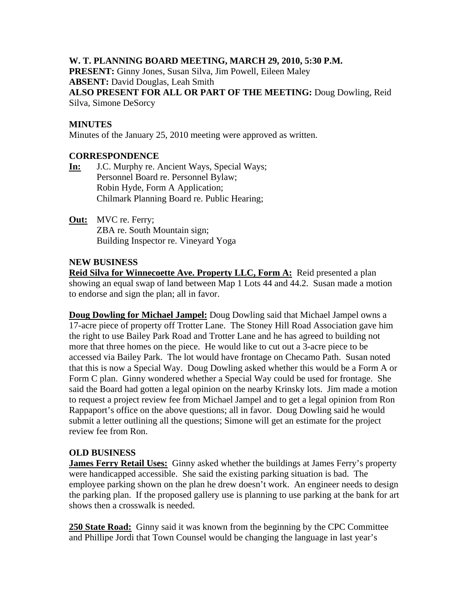# **W. T. PLANNING BOARD MEETING, MARCH 29, 2010, 5:30 P.M.**

**PRESENT:** Ginny Jones, Susan Silva, Jim Powell, Eileen Maley **ABSENT:** David Douglas, Leah Smith **ALSO PRESENT FOR ALL OR PART OF THE MEETING:** Doug Dowling, Reid

Silva, Simone DeSorcy

#### **MINUTES**

Minutes of the January 25, 2010 meeting were approved as written.

## **CORRESPONDENCE**

**In:** J.C. Murphy re. Ancient Ways, Special Ways; Personnel Board re. Personnel Bylaw; Robin Hyde, Form A Application; Chilmark Planning Board re. Public Hearing;

**Out:** MVC re. Ferry; ZBA re. South Mountain sign; Building Inspector re. Vineyard Yoga

#### **NEW BUSINESS**

**Reid Silva for Winnecoette Ave. Property LLC, Form A:** Reid presented a plan showing an equal swap of land between Map 1 Lots 44 and 44.2. Susan made a motion to endorse and sign the plan; all in favor.

**Doug Dowling for Michael Jampel:** Doug Dowling said that Michael Jampel owns a 17-acre piece of property off Trotter Lane. The Stoney Hill Road Association gave him the right to use Bailey Park Road and Trotter Lane and he has agreed to building not more that three homes on the piece. He would like to cut out a 3-acre piece to be accessed via Bailey Park. The lot would have frontage on Checamo Path. Susan noted that this is now a Special Way. Doug Dowling asked whether this would be a Form A or Form C plan. Ginny wondered whether a Special Way could be used for frontage. She said the Board had gotten a legal opinion on the nearby Krinsky lots. Jim made a motion to request a project review fee from Michael Jampel and to get a legal opinion from Ron Rappaport's office on the above questions; all in favor. Doug Dowling said he would submit a letter outlining all the questions; Simone will get an estimate for the project review fee from Ron.

#### **OLD BUSINESS**

**James Ferry Retail Uses:** Ginny asked whether the buildings at James Ferry's property were handicapped accessible. She said the existing parking situation is bad. The employee parking shown on the plan he drew doesn't work. An engineer needs to design the parking plan. If the proposed gallery use is planning to use parking at the bank for art shows then a crosswalk is needed.

**250 State Road:** Ginny said it was known from the beginning by the CPC Committee and Phillipe Jordi that Town Counsel would be changing the language in last year's